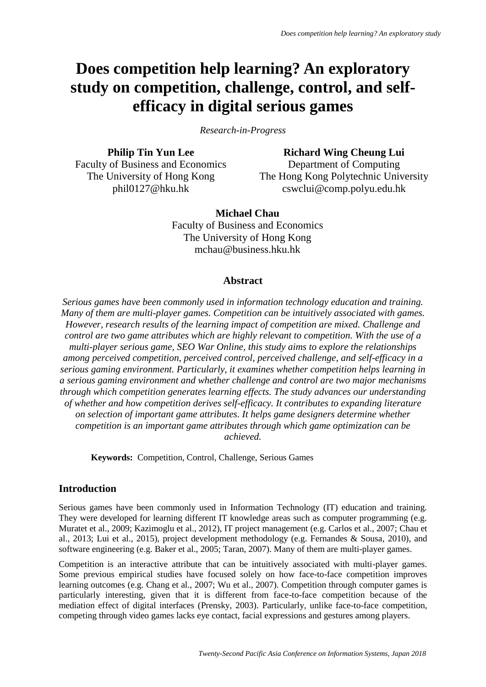# **Does competition help learning? An exploratory study on competition, challenge, control, and selfefficacy in digital serious games**

*Research-in-Progress*

**Philip Tin Yun Lee** Faculty of Business and Economics The University of Hong Kong phil0127@hku.hk

**Richard Wing Cheung Lui** Department of Computing The Hong Kong Polytechnic University cswclui@comp.polyu.edu.hk

**Michael Chau** Faculty of Business and Economics The University of Hong Kong mchau@business.hku.hk

#### **Abstract**

*Serious games have been commonly used in information technology education and training. Many of them are multi-player games. Competition can be intuitively associated with games. However, research results of the learning impact of competition are mixed. Challenge and control are two game attributes which are highly relevant to competition. With the use of a multi-player serious game, SEO War Online, this study aims to explore the relationships among perceived competition, perceived control, perceived challenge, and self-efficacy in a serious gaming environment. Particularly, it examines whether competition helps learning in a serious gaming environment and whether challenge and control are two major mechanisms through which competition generates learning effects. The study advances our understanding of whether and how competition derives self-efficacy. It contributes to expanding literature on selection of important game attributes. It helps game designers determine whether competition is an important game attributes through which game optimization can be achieved.*

**Keywords:** Competition, Control, Challenge, Serious Games

## **Introduction**

Serious games have been commonly used in Information Technology (IT) education and training. They were developed for learning different IT knowledge areas such as computer programming (e.g. Muratet et al., 2009; Kazimoglu et al., 2012), IT project management (e.g. Carlos et al., 2007; Chau et al., 2013; Lui et al., 2015), project development methodology (e.g. Fernandes & Sousa, 2010), and software engineering (e.g. Baker et al., 2005; Taran, 2007). Many of them are multi-player games.

Competition is an interactive attribute that can be intuitively associated with multi-player games. Some previous empirical studies have focused solely on how face-to-face competition improves learning outcomes (e.g. Chang et al., 2007; Wu et al., 2007). Competition through computer games is particularly interesting, given that it is different from face-to-face competition because of the mediation effect of digital interfaces (Prensky, 2003). Particularly, unlike face-to-face competition, competing through video games lacks eye contact, facial expressions and gestures among players.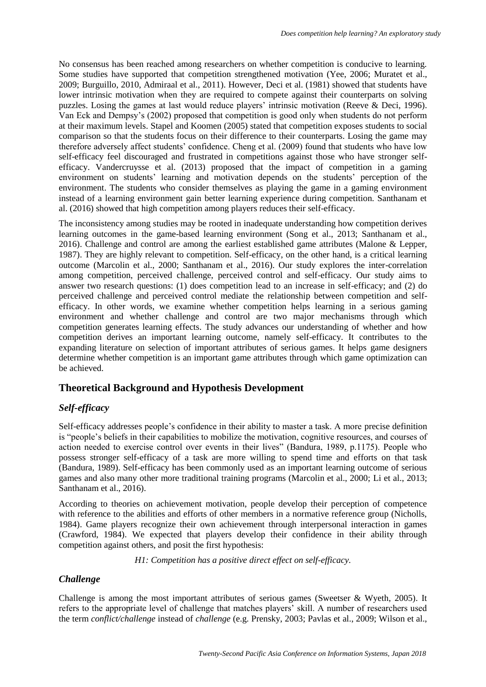No consensus has been reached among researchers on whether competition is conducive to learning. Some studies have supported that competition strengthened motivation (Yee, 2006; Muratet et al., 2009; Burguillo, 2010, Admiraal et al., 2011). However, Deci et al. (1981) showed that students have lower intrinsic motivation when they are required to compete against their counterparts on solving puzzles. Losing the games at last would reduce players' intrinsic motivation (Reeve & Deci, 1996). Van Eck and Dempsy's (2002) proposed that competition is good only when students do not perform at their maximum levels. Stapel and Koomen (2005) stated that competition exposes students to social comparison so that the students focus on their difference to their counterparts. Losing the game may therefore adversely affect students' confidence. Cheng et al. (2009) found that students who have low self-efficacy feel discouraged and frustrated in competitions against those who have stronger selfefficacy. Vandercruysse et al. (2013) proposed that the impact of competition in a gaming environment on students' learning and motivation depends on the students' perception of the environment. The students who consider themselves as playing the game in a gaming environment instead of a learning environment gain better learning experience during competition. Santhanam et al. (2016) showed that high competition among players reduces their self-efficacy.

The inconsistency among studies may be rooted in inadequate understanding how competition derives learning outcomes in the game-based learning environment (Song et al., 2013; Santhanam et al., 2016). Challenge and control are among the earliest established game attributes (Malone & Lepper, 1987). They are highly relevant to competition. Self-efficacy, on the other hand, is a critical learning outcome (Marcolin et al., 2000; Santhanam et al., 2016). Our study explores the inter-correlation among competition, perceived challenge, perceived control and self-efficacy. Our study aims to answer two research questions: (1) does competition lead to an increase in self-efficacy; and (2) do perceived challenge and perceived control mediate the relationship between competition and selfefficacy. In other words, we examine whether competition helps learning in a serious gaming environment and whether challenge and control are two major mechanisms through which competition generates learning effects. The study advances our understanding of whether and how competition derives an important learning outcome, namely self-efficacy. It contributes to the expanding literature on selection of important attributes of serious games. It helps game designers determine whether competition is an important game attributes through which game optimization can be achieved.

# **Theoretical Background and Hypothesis Development**

## *Self-efficacy*

Self-efficacy addresses people's confidence in their ability to master a task. A more precise definition is "people's beliefs in their capabilities to mobilize the motivation, cognitive resources, and courses of action needed to exercise control over events in their lives" (Bandura, 1989, p.1175). People who possess stronger self-efficacy of a task are more willing to spend time and efforts on that task (Bandura, 1989). Self-efficacy has been commonly used as an important learning outcome of serious games and also many other more traditional training programs (Marcolin et al., 2000; Li et al., 2013; Santhanam et al., 2016).

According to theories on achievement motivation, people develop their perception of competence with reference to the abilities and efforts of other members in a normative reference group (Nicholls, 1984). Game players recognize their own achievement through interpersonal interaction in games (Crawford, 1984). We expected that players develop their confidence in their ability through competition against others, and posit the first hypothesis:

*H1: Competition has a positive direct effect on self-efficacy.*

#### *Challenge*

Challenge is among the most important attributes of serious games (Sweetser & Wyeth, 2005). It refers to the appropriate level of challenge that matches players' skill. A number of researchers used the term *conflict/challenge* instead of *challenge* (e.g. Prensky, 2003; Pavlas et al., 2009; Wilson et al.,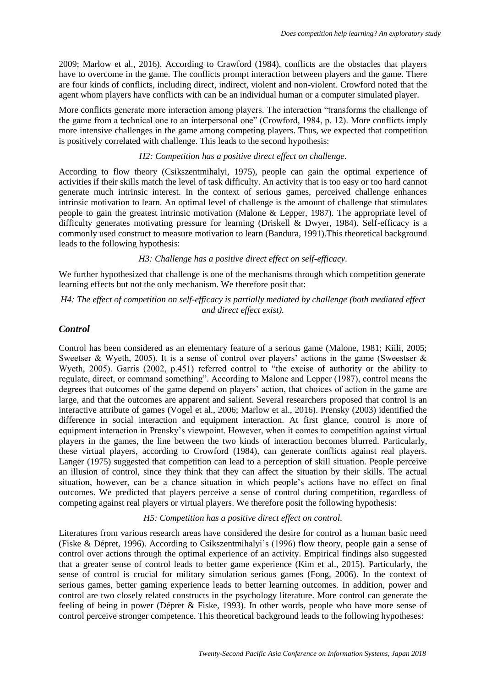2009; Marlow et al., 2016). According to Crawford (1984), conflicts are the obstacles that players have to overcome in the game. The conflicts prompt interaction between players and the game. There are four kinds of conflicts, including direct, indirect, violent and non-violent. Crowford noted that the agent whom players have conflicts with can be an individual human or a computer simulated player.

More conflicts generate more interaction among players. The interaction "transforms the challenge of the game from a technical one to an interpersonal one" (Crowford, 1984, p. 12). More conflicts imply more intensive challenges in the game among competing players. Thus, we expected that competition is positively correlated with challenge. This leads to the second hypothesis:

#### *H2: Competition has a positive direct effect on challenge.*

According to flow theory (Csikszentmihalyi, 1975), people can gain the optimal experience of activities if their skills match the level of task difficulty. An activity that is too easy or too hard cannot generate much intrinsic interest. In the context of serious games, perceived challenge enhances intrinsic motivation to learn. An optimal level of challenge is the amount of challenge that stimulates people to gain the greatest intrinsic motivation (Malone & Lepper, 1987). The appropriate level of difficulty generates motivating pressure for learning (Driskell & Dwyer, 1984). Self-efficacy is a commonly used construct to measure motivation to learn (Bandura, 1991).This theoretical background leads to the following hypothesis:

#### *H3: Challenge has a positive direct effect on self-efficacy.*

We further hypothesized that challenge is one of the mechanisms through which competition generate learning effects but not the only mechanism. We therefore posit that:

#### *H4: The effect of competition on self-efficacy is partially mediated by challenge (both mediated effect and direct effect exist).*

#### *Control*

Control has been considered as an elementary feature of a serious game (Malone, 1981; Kiili, 2005; Sweetser & Wyeth, 2005). It is a sense of control over players' actions in the game (Sweestser & Wyeth,  $2005$ ). Garris  $(2002, p.451)$  referred control to "the excise of authority or the ability to regulate, direct, or command something". According to Malone and Lepper (1987), control means the degrees that outcomes of the game depend on players' action, that choices of action in the game are large, and that the outcomes are apparent and salient. Several researchers proposed that control is an interactive attribute of games (Vogel et al., 2006; Marlow et al., 2016). Prensky (2003) identified the difference in social interaction and equipment interaction. At first glance, control is more of equipment interaction in Prensky's viewpoint. However, when it comes to competition against virtual players in the games, the line between the two kinds of interaction becomes blurred. Particularly, these virtual players, according to Crowford (1984), can generate conflicts against real players. Langer (1975) suggested that competition can lead to a perception of skill situation. People perceive an illusion of control, since they think that they can affect the situation by their skills. The actual situation, however, can be a chance situation in which people's actions have no effect on final outcomes. We predicted that players perceive a sense of control during competition, regardless of competing against real players or virtual players. We therefore posit the following hypothesis:

#### *H5: Competition has a positive direct effect on control.*

Literatures from various research areas have considered the desire for control as a human basic need (Fiske & Dépret, 1996). According to Csikszentmihalyi's (1996) flow theory, people gain a sense of control over actions through the optimal experience of an activity. Empirical findings also suggested that a greater sense of control leads to better game experience (Kim et al., 2015). Particularly, the sense of control is crucial for military simulation serious games (Fong, 2006). In the context of serious games, better gaming experience leads to better learning outcomes. In addition, power and control are two closely related constructs in the psychology literature. More control can generate the feeling of being in power (Dépret & Fiske, 1993). In other words, people who have more sense of control perceive stronger competence. This theoretical background leads to the following hypotheses: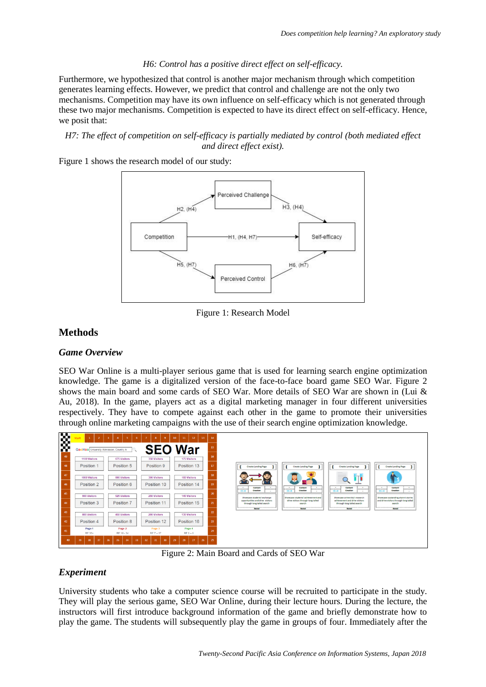### *H6: Control has a positive direct effect on self-efficacy.*

Furthermore, we hypothesized that control is another major mechanism through which competition generates learning effects. However, we predict that control and challenge are not the only two mechanisms. Competition may have its own influence on self-efficacy which is not generated through these two major mechanisms. Competition is expected to have its direct effect on self-efficacy. Hence, we posit that:

*H7: The effect of competition on self-efficacy is partially mediated by control (both mediated effect and direct effect exist).*

Figure 1 shows the research model of our study:



Figure 1: Research Model

# **Methods**

#### *Game Overview*

SEO War Online is a multi-player serious game that is used for learning search engine optimization knowledge. The game is a digitalized version of the face-to-face board game SEO War. Figure 2 shows the main board and some cards of SEO War. More details of SEO War are shown in (Lui & Au, 2018). In the game, players act as a digital marketing manager in four different universities respectively. They have to compete against each other in the game to promote their universities through online marketing campaigns with the use of their search engine optimization knowledge.



Figure 2: Main Board and Cards of SEO War

## *Experiment*

University students who take a computer science course will be recruited to participate in the study. They will play the serious game, SEO War Online, during their lecture hours. During the lecture, the instructors will first introduce background information of the game and briefly demonstrate how to play the game. The students will subsequently play the game in groups of four. Immediately after the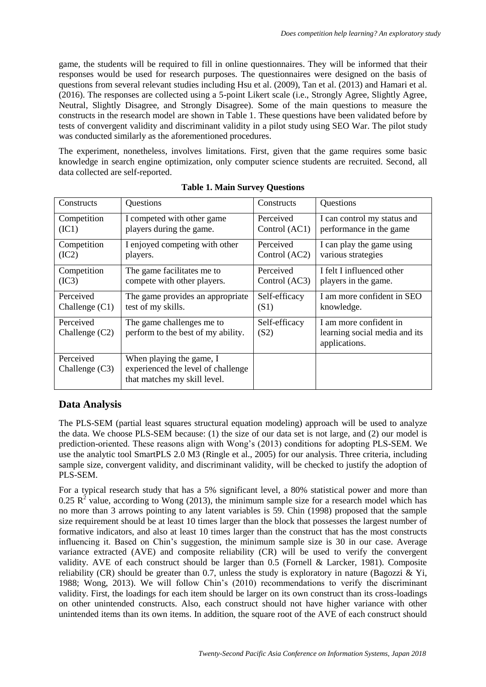game, the students will be required to fill in online questionnaires. They will be informed that their responses would be used for research purposes. The questionnaires were designed on the basis of questions from several relevant studies including Hsu et al. (2009), Tan et al. (2013) and Hamari et al. (2016). The responses are collected using a 5-point Likert scale (i.e., Strongly Agree, Slightly Agree, Neutral, Slightly Disagree, and Strongly Disagree). Some of the main questions to measure the constructs in the research model are shown in Table 1. These questions have been validated before by tests of convergent validity and discriminant validity in a pilot study using SEO War. The pilot study was conducted similarly as the aforementioned procedures.

The experiment, nonetheless, involves limitations. First, given that the game requires some basic knowledge in search engine optimization, only computer science students are recruited. Second, all data collected are self-reported.

| Constructs       | Questions                          | Constructs    | Questions                                      |
|------------------|------------------------------------|---------------|------------------------------------------------|
| Competition      | I competed with other game         | Perceived     | I can control my status and                    |
| (IC1)            | players during the game.           | Control (AC1) | performance in the game                        |
| Competition      | I enjoyed competing with other     | Perceived     | I can play the game using                      |
| (IC2)            | players.                           | Control (AC2) | various strategies                             |
| Competition      | The game facilitates me to         | Perceived     | I felt I influenced other                      |
| (IC3)            | compete with other players.        | Control (AC3) | players in the game.                           |
| Perceived        | The game provides an appropriate   | Self-efficacy | I am more confident in SEO                     |
| Challenge $(C1)$ | test of my skills.                 | (S1)          | knowledge.                                     |
| Perceived        | The game challenges me to          | Self-efficacy | I am more confident in                         |
| Challenge $(C2)$ | perform to the best of my ability. | (S2)          | learning social media and its<br>applications. |
| Perceived        | When playing the game, I           |               |                                                |
| Challenge $(C3)$ | experienced the level of challenge |               |                                                |
|                  | that matches my skill level.       |               |                                                |

**Table 1. Main Survey Questions**

# **Data Analysis**

The PLS-SEM (partial least squares structural equation modeling) approach will be used to analyze the data. We choose PLS-SEM because: (1) the size of our data set is not large, and (2) our model is prediction-oriented. These reasons align with Wong's (2013) conditions for adopting PLS-SEM. We use the analytic tool SmartPLS 2.0 M3 (Ringle et al., 2005) for our analysis. Three criteria, including sample size, convergent validity, and discriminant validity, will be checked to justify the adoption of PLS-SEM.

For a typical research study that has a 5% significant level, a 80% statistical power and more than  $0.25 \text{ R}^2$  value, according to Wong (2013), the minimum sample size for a research model which has no more than 3 arrows pointing to any latent variables is 59. Chin (1998) proposed that the sample size requirement should be at least 10 times larger than the block that possesses the largest number of formative indicators, and also at least 10 times larger than the construct that has the most constructs influencing it. Based on Chin's suggestion, the minimum sample size is 30 in our case. Average variance extracted (AVE) and composite reliability (CR) will be used to verify the convergent validity. AVE of each construct should be larger than 0.5 (Fornell & Larcker, 1981). Composite reliability (CR) should be greater than 0.7, unless the study is exploratory in nature (Bagozzi  $\&$  Yi, 1988; Wong, 2013). We will follow Chin's (2010) recommendations to verify the discriminant validity. First, the loadings for each item should be larger on its own construct than its cross-loadings on other unintended constructs. Also, each construct should not have higher variance with other unintended items than its own items. In addition, the square root of the AVE of each construct should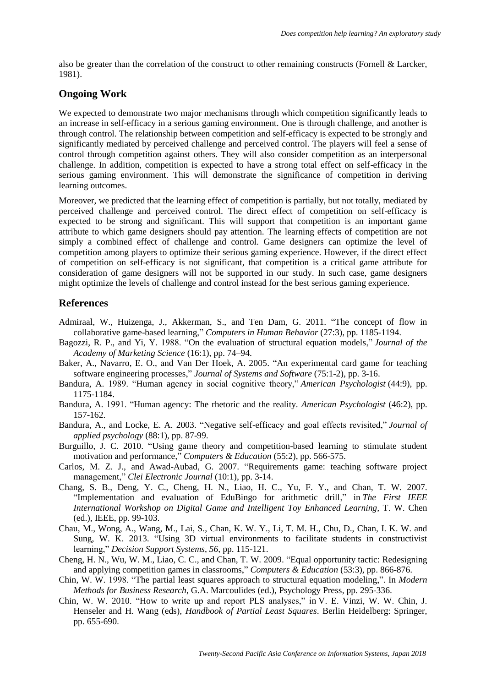also be greater than the correlation of the construct to other remaining constructs (Fornell & Larcker, 1981).

#### **Ongoing Work**

We expected to demonstrate two major mechanisms through which competition significantly leads to an increase in self-efficacy in a serious gaming environment. One is through challenge, and another is through control. The relationship between competition and self-efficacy is expected to be strongly and significantly mediated by perceived challenge and perceived control. The players will feel a sense of control through competition against others. They will also consider competition as an interpersonal challenge. In addition, competition is expected to have a strong total effect on self-efficacy in the serious gaming environment. This will demonstrate the significance of competition in deriving learning outcomes.

Moreover, we predicted that the learning effect of competition is partially, but not totally, mediated by perceived challenge and perceived control. The direct effect of competition on self-efficacy is expected to be strong and significant. This will support that competition is an important game attribute to which game designers should pay attention. The learning effects of competition are not simply a combined effect of challenge and control. Game designers can optimize the level of competition among players to optimize their serious gaming experience. However, if the direct effect of competition on self-efficacy is not significant, that competition is a critical game attribute for consideration of game designers will not be supported in our study. In such case, game designers might optimize the levels of challenge and control instead for the best serious gaming experience.

#### **References**

- Admiraal, W., Huizenga, J., Akkerman, S., and Ten Dam, G. 2011. "The concept of flow in collaborative game-based learning," *Computers in Human Behavior* (27:3), pp. 1185-1194.
- Bagozzi, R. P., and Yi, Y. 1988. "On the evaluation of structural equation models," *Journal of the Academy of Marketing Science* (16:1), pp. 74–94.
- Baker, A., Navarro, E. O., and Van Der Hoek, A. 2005. "An experimental card game for teaching software engineering processes,‖ *Journal of Systems and Software* (75:1-2), pp. 3-16.
- Bandura, A. 1989. "Human agency in social cognitive theory," *American Psychologist* (44:9), pp. 1175-1184.
- Bandura, A. 1991. "Human agency: The rhetoric and the reality. *American Psychologist* (46:2), pp. 157-162.
- Bandura, A., and Locke, E. A. 2003. "Negative self-efficacy and goal effects revisited," *Journal of applied psychology* (88:1), pp. 87-99.
- Burguillo, J. C. 2010. "Using game theory and competition-based learning to stimulate student motivation and performance," *Computers & Education* (55:2), pp. 566-575.
- Carlos, M. Z. J., and Awad-Aubad, G. 2007. "Requirements game: teaching software project management," *Clei Electronic Journal* (10:1), pp. 3-14.
- Chang, S. B., Deng, Y. C., Cheng, H. N., Liao, H. C., Yu, F. Y., and Chan, T. W. 2007. ―Implementation and evaluation of EduBingo for arithmetic drill,‖ in *The First IEEE International Workshop on Digital Game and Intelligent Toy Enhanced Learning,* T. W. Chen (ed.), IEEE, pp. 99-103.
- Chau, M., Wong, A., Wang, M., Lai, S., Chan, K. W. Y., Li, T. M. H., Chu, D., Chan, I. K. W. and Sung, W. K. 2013. "Using 3D virtual environments to facilitate students in constructivist learning," *Decision Support Systems*, 56, pp. 115-121.
- Cheng, H. N., Wu, W. M., Liao, C. C., and Chan, T. W. 2009. "Equal opportunity tactic: Redesigning and applying competition games in classrooms," *Computers & Education* (53:3), pp. 866-876.
- Chin, W. W. 1998. "The partial least squares approach to structural equation modeling,". In *Modern Methods for Business Research*, G.A. Marcoulides (ed.), Psychology Press, pp. 295-336.
- Chin, W. W. 2010. "How to write up and report PLS analyses," in V. E. Vinzi, W. W. Chin, J. Henseler and H. Wang (eds), *Handbook of Partial Least Squares*. Berlin Heidelberg: Springer, pp. 655-690.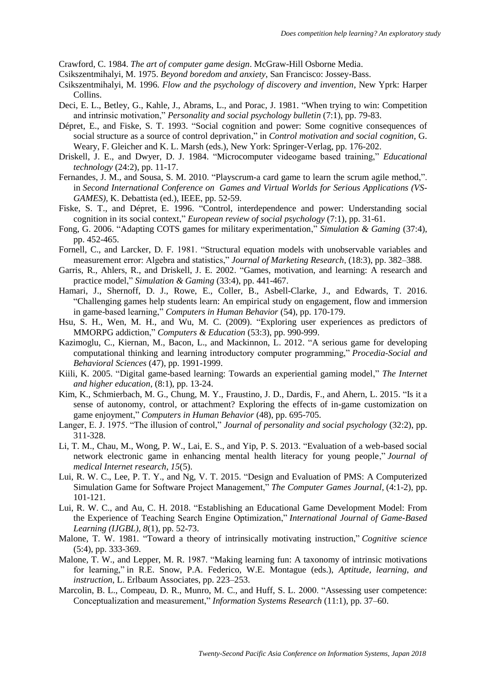Crawford, C. 1984. *The art of computer game design*. McGraw-Hill Osborne Media.

- Csikszentmihalyi, M. 1975. *Beyond boredom and anxiety*, San Francisco: Jossey-Bass.
- Csikszentmihalyi, M. 1996. *Flow and the psychology of discovery and invention*, New Yprk: Harper Collins.
- Deci, E. L., Betley, G., Kahle, J., Abrams, L., and Porac, J. 1981. "When trying to win: Competition and intrinsic motivation," *Personality and social psychology bulletin* (7:1), pp. 79-83.
- Dépret, E., and Fiske, S. T. 1993. "Social cognition and power: Some cognitive consequences of social structure as a source of control deprivation," in *Control motivation and social cognition*, G. Weary, F. Gleicher and K. L. Marsh (eds.), New York: Springer-Verlag, pp. 176-202.
- Driskell, J. E., and Dwyer, D. J. 1984. "Microcomputer videogame based training," *Educational technology* (24:2), pp. 11-17.
- Fernandes, J. M., and Sousa, S. M. 2010. "Playscrum-a card game to learn the scrum agile method,". in *Second International Conference on Games and Virtual Worlds for Serious Applications (VS-GAMES),* K. Debattista (ed.), IEEE, pp. 52-59.
- Fiske, S. T., and Dépret, E. 1996. "Control, interdependence and power: Understanding social cognition in its social context," *European review of social psychology* (7:1), pp. 31-61.
- Fong, G. 2006. "Adapting COTS games for military experimentation," *Simulation & Gaming* (37:4), pp. 452-465.
- Fornell, C., and Larcker, D. F. 1981. "Structural equation models with unobservable variables and measurement error: Algebra and statistics," *Journal of Marketing Research*, (18:3), pp. 382–388.
- Garris, R., Ahlers, R., and Driskell, J. E. 2002. "Games, motivation, and learning: A research and practice model," *Simulation & Gaming* (33:4), pp. 441-467.
- Hamari, J., Shernoff, D. J., Rowe, E., Coller, B., Asbell-Clarke, J., and Edwards, T. 2016. ―Challenging games help students learn: An empirical study on engagement, flow and immersion in game-based learning," *Computers in Human Behavior* (54), pp. 170-179.
- Hsu, S. H., Wen, M. H., and Wu, M. C. (2009). "Exploring user experiences as predictors of MMORPG addiction," *Computers & Education* (53:3), pp. 990-999.
- Kazimoglu, C., Kiernan, M., Bacon, L., and Mackinnon, L. 2012. "A serious game for developing computational thinking and learning introductory computer programming," *Procedia-Social and Behavioral Sciences* (47), pp. 1991-1999.
- Kiili, K. 2005. "Digital game-based learning: Towards an experiential gaming model," *The Internet and higher education*, (8:1), pp. 13-24.
- Kim, K., Schmierbach, M. G., Chung, M. Y., Fraustino, J. D., Dardis, F., and Ahern, L. 2015. "Is it a sense of autonomy, control, or attachment? Exploring the effects of in-game customization on game enjoyment," *Computers in Human Behavior* (48), pp. 695-705.
- Langer, E. J. 1975. "The illusion of control," *Journal of personality and social psychology* (32:2), pp. 311-328.
- Li, T. M., Chau, M., Wong, P. W., Lai, E. S., and Yip, P. S. 2013. "Evaluation of a web-based social network electronic game in enhancing mental health literacy for young people," *Journal of medical Internet research*, *15*(5).
- Lui, R. W. C., Lee, P. T. Y., and Ng, V. T. 2015. "Design and Evaluation of PMS: A Computerized Simulation Game for Software Project Management," *The Computer Games Journal*, (4:1-2), pp. 101-121.
- Lui, R. W. C., and Au, C. H. 2018. "Establishing an Educational Game Development Model: From the Experience of Teaching Search Engine Optimization," *International Journal of Game-Based Learning (IJGBL)*, *8*(1), pp. 52-73.
- Malone, T. W. 1981. "Toward a theory of intrinsically motivating instruction," *Cognitive science* (5:4), pp. 333-369.
- Malone, T. W., and Lepper, M. R. 1987. "Making learning fun: A taxonomy of intrinsic motivations for learning," in R.E. Snow, P.A. Federico, W.E. Montague (eds.), *Aptitude, learning, and instruction*, L. Erlbaum Associates, pp. 223–253.
- Marcolin, B. L., Compeau, D. R., Munro, M. C., and Huff, S. L. 2000. "Assessing user competence: Conceptualization and measurement,‖ *Information Systems Research* (11:1), pp. 37–60.